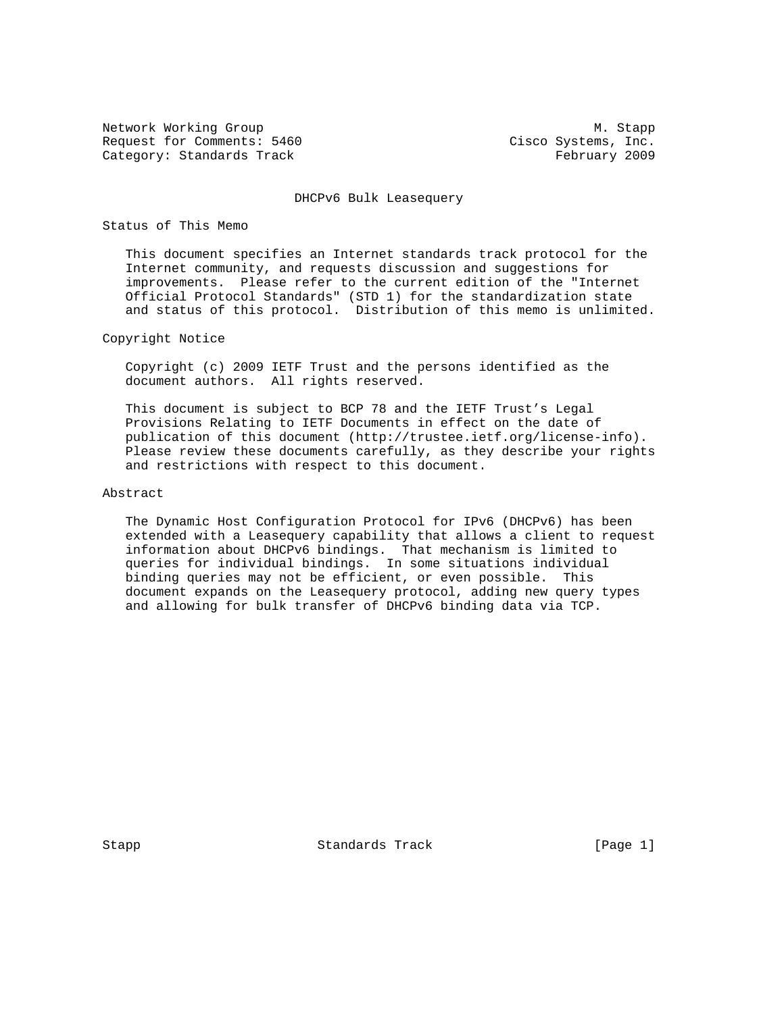Network Working Group Manuscript and Manuscript Manuscript Manuscript Manuscript Manuscript Manuscript Manuscri Request for Comments: 5460 Cisco Systems, Inc. Category: Standards Track February 2009

#### DHCPv6 Bulk Leasequery

### Status of This Memo

 This document specifies an Internet standards track protocol for the Internet community, and requests discussion and suggestions for improvements. Please refer to the current edition of the "Internet Official Protocol Standards" (STD 1) for the standardization state and status of this protocol. Distribution of this memo is unlimited.

## Copyright Notice

 Copyright (c) 2009 IETF Trust and the persons identified as the document authors. All rights reserved.

 This document is subject to BCP 78 and the IETF Trust's Legal Provisions Relating to IETF Documents in effect on the date of publication of this document (http://trustee.ietf.org/license-info). Please review these documents carefully, as they describe your rights and restrictions with respect to this document.

## Abstract

 The Dynamic Host Configuration Protocol for IPv6 (DHCPv6) has been extended with a Leasequery capability that allows a client to request information about DHCPv6 bindings. That mechanism is limited to queries for individual bindings. In some situations individual binding queries may not be efficient, or even possible. This document expands on the Leasequery protocol, adding new query types and allowing for bulk transfer of DHCPv6 binding data via TCP.

Stapp Standards Track [Page 1]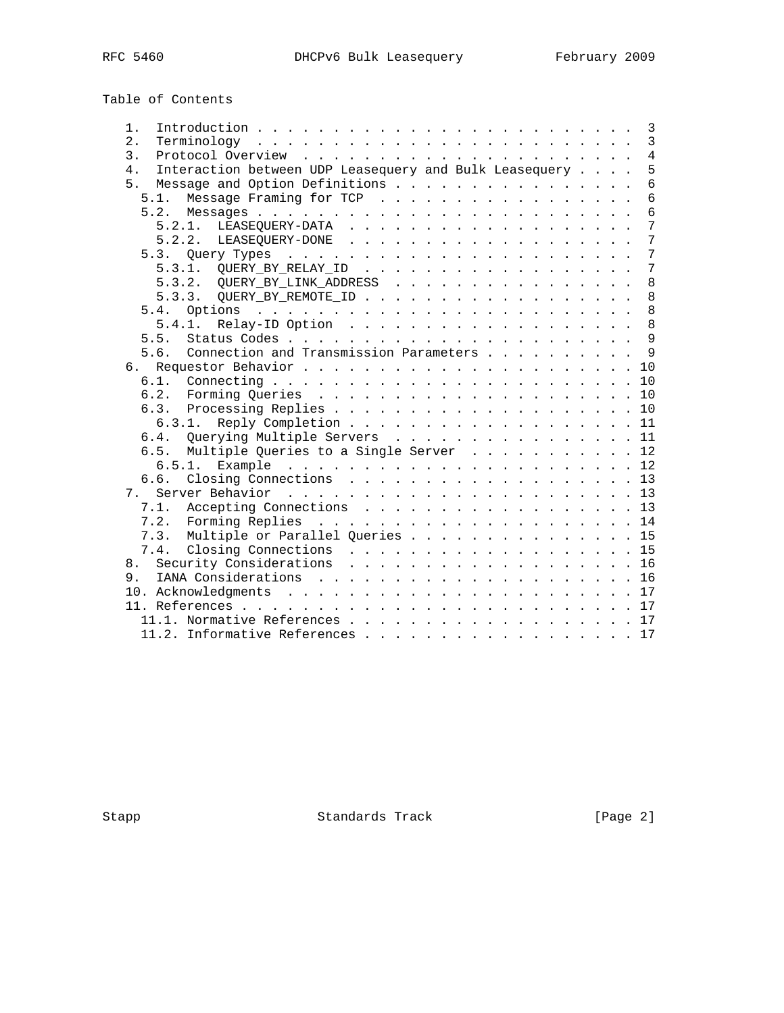Table of Contents

| $1$ .                                                        |        |                                                                              |  |  |  |  |  |  |  |  |  |   |  |  |  | $\overline{\mathbf{3}}$ |
|--------------------------------------------------------------|--------|------------------------------------------------------------------------------|--|--|--|--|--|--|--|--|--|---|--|--|--|-------------------------|
| 2.                                                           |        | $Terminology \ldots \ldots \ldots \ldots \ldots \ldots \ldots \ldots \ldots$ |  |  |  |  |  |  |  |  |  |   |  |  |  | $\mathbf{3}$            |
| 3.                                                           |        |                                                                              |  |  |  |  |  |  |  |  |  |   |  |  |  | $\overline{4}$          |
| Interaction between UDP Leasequery and Bulk Leasequery<br>4. |        |                                                                              |  |  |  |  |  |  |  |  |  | 5 |  |  |  |                         |
| 5.                                                           |        | Message and Option Definitions                                               |  |  |  |  |  |  |  |  |  |   |  |  |  | $6\,$                   |
|                                                              |        | 5.1. Message Framing for TCP                                                 |  |  |  |  |  |  |  |  |  |   |  |  |  | 6                       |
|                                                              |        |                                                                              |  |  |  |  |  |  |  |  |  |   |  |  |  | 6                       |
|                                                              |        |                                                                              |  |  |  |  |  |  |  |  |  |   |  |  |  | $\overline{7}$          |
|                                                              |        |                                                                              |  |  |  |  |  |  |  |  |  |   |  |  |  | $\overline{7}$          |
|                                                              |        |                                                                              |  |  |  |  |  |  |  |  |  |   |  |  |  | $\overline{7}$          |
|                                                              |        |                                                                              |  |  |  |  |  |  |  |  |  |   |  |  |  | $7\phantom{.0}$         |
|                                                              |        | 5.3.2. QUERY_BY_LINK_ADDRESS                                                 |  |  |  |  |  |  |  |  |  |   |  |  |  | 8                       |
|                                                              |        | 5.3.3. QUERY_BY_REMOTE_ID                                                    |  |  |  |  |  |  |  |  |  |   |  |  |  | 8                       |
| 5.4.                                                         |        |                                                                              |  |  |  |  |  |  |  |  |  |   |  |  |  | 8                       |
|                                                              | 5.4.1. | Relay-ID Option 8                                                            |  |  |  |  |  |  |  |  |  |   |  |  |  |                         |
| 5.5.                                                         |        |                                                                              |  |  |  |  |  |  |  |  |  |   |  |  |  |                         |
| 5.6.                                                         |        | Connection and Transmission Parameters 9                                     |  |  |  |  |  |  |  |  |  |   |  |  |  |                         |
| б.                                                           |        |                                                                              |  |  |  |  |  |  |  |  |  |   |  |  |  |                         |
|                                                              |        |                                                                              |  |  |  |  |  |  |  |  |  |   |  |  |  |                         |
|                                                              |        |                                                                              |  |  |  |  |  |  |  |  |  |   |  |  |  |                         |
|                                                              |        |                                                                              |  |  |  |  |  |  |  |  |  |   |  |  |  |                         |
|                                                              | 6.3.1. | Reply Completion 11                                                          |  |  |  |  |  |  |  |  |  |   |  |  |  |                         |
|                                                              |        | 6.4. Querying Multiple Servers 11                                            |  |  |  |  |  |  |  |  |  |   |  |  |  |                         |
| 6.5.                                                         |        | Multiple Queries to a Single Server 12                                       |  |  |  |  |  |  |  |  |  |   |  |  |  |                         |
|                                                              |        |                                                                              |  |  |  |  |  |  |  |  |  |   |  |  |  |                         |
| 6.6.                                                         |        | Closing Connections 13                                                       |  |  |  |  |  |  |  |  |  |   |  |  |  |                         |
|                                                              |        |                                                                              |  |  |  |  |  |  |  |  |  |   |  |  |  |                         |
|                                                              |        | 7.1. Accepting Connections 13                                                |  |  |  |  |  |  |  |  |  |   |  |  |  |                         |
|                                                              |        |                                                                              |  |  |  |  |  |  |  |  |  |   |  |  |  |                         |
|                                                              |        | 7.3. Multiple or Parallel Queries 15                                         |  |  |  |  |  |  |  |  |  |   |  |  |  |                         |
|                                                              |        | 7.4. Closing Connections 15                                                  |  |  |  |  |  |  |  |  |  |   |  |  |  |                         |
|                                                              |        | 8. Security Considerations 16                                                |  |  |  |  |  |  |  |  |  |   |  |  |  |                         |
|                                                              |        |                                                                              |  |  |  |  |  |  |  |  |  |   |  |  |  |                         |
|                                                              |        |                                                                              |  |  |  |  |  |  |  |  |  |   |  |  |  |                         |
|                                                              |        |                                                                              |  |  |  |  |  |  |  |  |  |   |  |  |  |                         |
|                                                              |        | 11.1. Normative References 17                                                |  |  |  |  |  |  |  |  |  |   |  |  |  |                         |
|                                                              |        | 11.2. Informative References 17                                              |  |  |  |  |  |  |  |  |  |   |  |  |  |                         |

Stapp Standards Track [Page 2]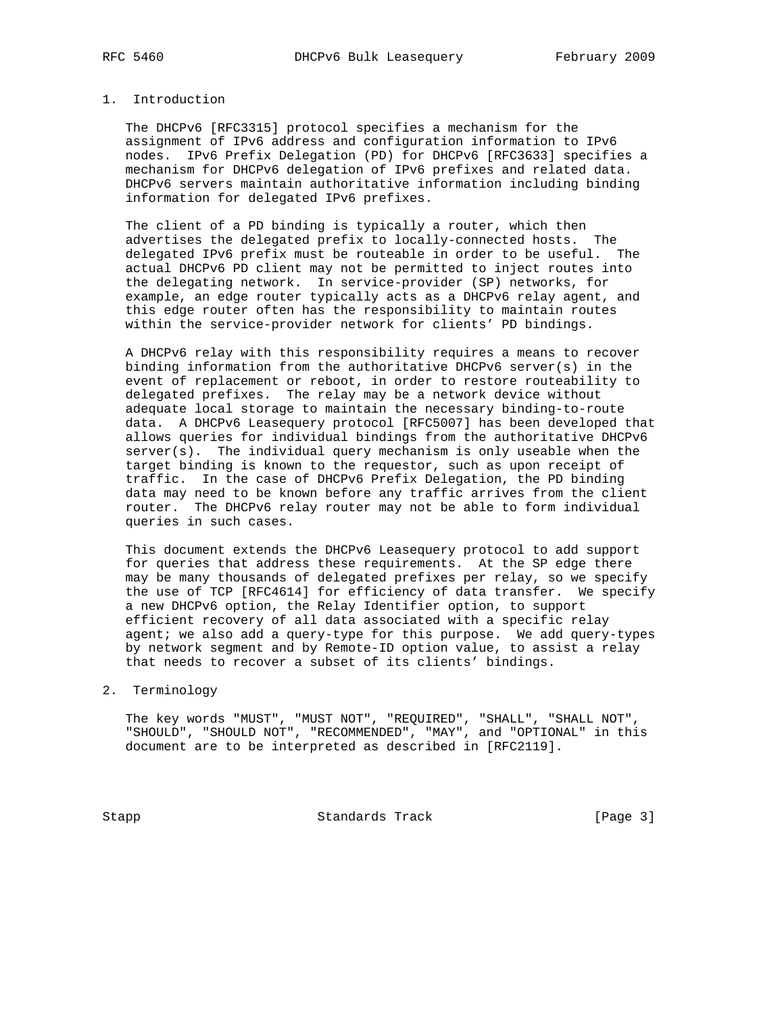## 1. Introduction

 The DHCPv6 [RFC3315] protocol specifies a mechanism for the assignment of IPv6 address and configuration information to IPv6 nodes. IPv6 Prefix Delegation (PD) for DHCPv6 [RFC3633] specifies a mechanism for DHCPv6 delegation of IPv6 prefixes and related data. DHCPv6 servers maintain authoritative information including binding information for delegated IPv6 prefixes.

 The client of a PD binding is typically a router, which then advertises the delegated prefix to locally-connected hosts. The delegated IPv6 prefix must be routeable in order to be useful. The actual DHCPv6 PD client may not be permitted to inject routes into the delegating network. In service-provider (SP) networks, for example, an edge router typically acts as a DHCPv6 relay agent, and this edge router often has the responsibility to maintain routes within the service-provider network for clients' PD bindings.

 A DHCPv6 relay with this responsibility requires a means to recover binding information from the authoritative DHCPv6 server(s) in the event of replacement or reboot, in order to restore routeability to delegated prefixes. The relay may be a network device without adequate local storage to maintain the necessary binding-to-route data. A DHCPv6 Leasequery protocol [RFC5007] has been developed that allows queries for individual bindings from the authoritative DHCPv6 server(s). The individual query mechanism is only useable when the target binding is known to the requestor, such as upon receipt of traffic. In the case of DHCPv6 Prefix Delegation, the PD binding data may need to be known before any traffic arrives from the client router. The DHCPv6 relay router may not be able to form individual queries in such cases.

 This document extends the DHCPv6 Leasequery protocol to add support for queries that address these requirements. At the SP edge there may be many thousands of delegated prefixes per relay, so we specify the use of TCP [RFC4614] for efficiency of data transfer. We specify a new DHCPv6 option, the Relay Identifier option, to support efficient recovery of all data associated with a specific relay agent; we also add a query-type for this purpose. We add query-types by network segment and by Remote-ID option value, to assist a relay that needs to recover a subset of its clients' bindings.

## 2. Terminology

 The key words "MUST", "MUST NOT", "REQUIRED", "SHALL", "SHALL NOT", "SHOULD", "SHOULD NOT", "RECOMMENDED", "MAY", and "OPTIONAL" in this document are to be interpreted as described in [RFC2119].

Stapp Standards Track [Page 3]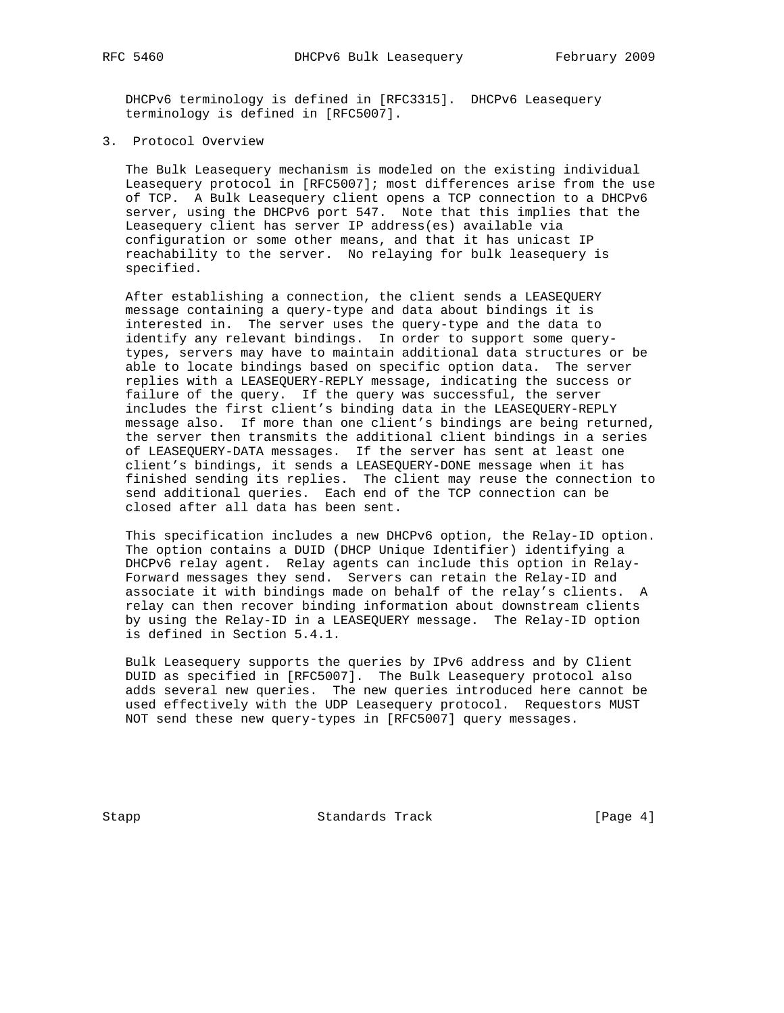DHCPv6 terminology is defined in [RFC3315]. DHCPv6 Leasequery terminology is defined in [RFC5007].

3. Protocol Overview

 The Bulk Leasequery mechanism is modeled on the existing individual Leasequery protocol in [RFC5007]; most differences arise from the use of TCP. A Bulk Leasequery client opens a TCP connection to a DHCPv6 server, using the DHCPv6 port 547. Note that this implies that the Leasequery client has server IP address(es) available via configuration or some other means, and that it has unicast IP reachability to the server. No relaying for bulk leasequery is specified.

 After establishing a connection, the client sends a LEASEQUERY message containing a query-type and data about bindings it is interested in. The server uses the query-type and the data to identify any relevant bindings. In order to support some query types, servers may have to maintain additional data structures or be able to locate bindings based on specific option data. The server replies with a LEASEQUERY-REPLY message, indicating the success or failure of the query. If the query was successful, the server includes the first client's binding data in the LEASEQUERY-REPLY message also. If more than one client's bindings are being returned, the server then transmits the additional client bindings in a series of LEASEQUERY-DATA messages. If the server has sent at least one client's bindings, it sends a LEASEQUERY-DONE message when it has finished sending its replies. The client may reuse the connection to send additional queries. Each end of the TCP connection can be closed after all data has been sent.

 This specification includes a new DHCPv6 option, the Relay-ID option. The option contains a DUID (DHCP Unique Identifier) identifying a DHCPv6 relay agent. Relay agents can include this option in Relay- Forward messages they send. Servers can retain the Relay-ID and associate it with bindings made on behalf of the relay's clients. A relay can then recover binding information about downstream clients by using the Relay-ID in a LEASEQUERY message. The Relay-ID option is defined in Section 5.4.1.

 Bulk Leasequery supports the queries by IPv6 address and by Client DUID as specified in [RFC5007]. The Bulk Leasequery protocol also adds several new queries. The new queries introduced here cannot be used effectively with the UDP Leasequery protocol. Requestors MUST NOT send these new query-types in [RFC5007] query messages.

Stapp Standards Track [Page 4]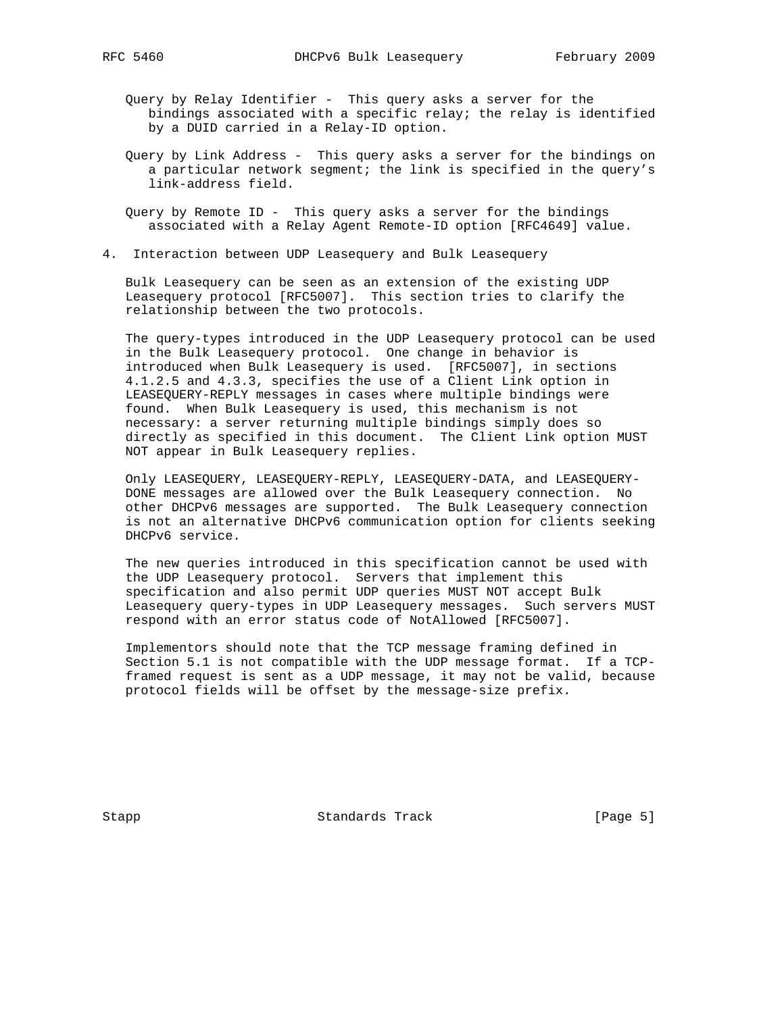Query by Relay Identifier - This query asks a server for the bindings associated with a specific relay; the relay is identified by a DUID carried in a Relay-ID option.

- Query by Link Address This query asks a server for the bindings on a particular network segment; the link is specified in the query's link-address field.
- Query by Remote ID This query asks a server for the bindings associated with a Relay Agent Remote-ID option [RFC4649] value.
- 4. Interaction between UDP Leasequery and Bulk Leasequery

 Bulk Leasequery can be seen as an extension of the existing UDP Leasequery protocol [RFC5007]. This section tries to clarify the relationship between the two protocols.

 The query-types introduced in the UDP Leasequery protocol can be used in the Bulk Leasequery protocol. One change in behavior is introduced when Bulk Leasequery is used. [RFC5007], in sections 4.1.2.5 and 4.3.3, specifies the use of a Client Link option in LEASEQUERY-REPLY messages in cases where multiple bindings were found. When Bulk Leasequery is used, this mechanism is not necessary: a server returning multiple bindings simply does so directly as specified in this document. The Client Link option MUST NOT appear in Bulk Leasequery replies.

 Only LEASEQUERY, LEASEQUERY-REPLY, LEASEQUERY-DATA, and LEASEQUERY- DONE messages are allowed over the Bulk Leasequery connection. No other DHCPv6 messages are supported. The Bulk Leasequery connection is not an alternative DHCPv6 communication option for clients seeking DHCPv6 service.

 The new queries introduced in this specification cannot be used with the UDP Leasequery protocol. Servers that implement this specification and also permit UDP queries MUST NOT accept Bulk Leasequery query-types in UDP Leasequery messages. Such servers MUST respond with an error status code of NotAllowed [RFC5007].

 Implementors should note that the TCP message framing defined in Section 5.1 is not compatible with the UDP message format. If a TCP framed request is sent as a UDP message, it may not be valid, because protocol fields will be offset by the message-size prefix.

Stapp Standards Track [Page 5]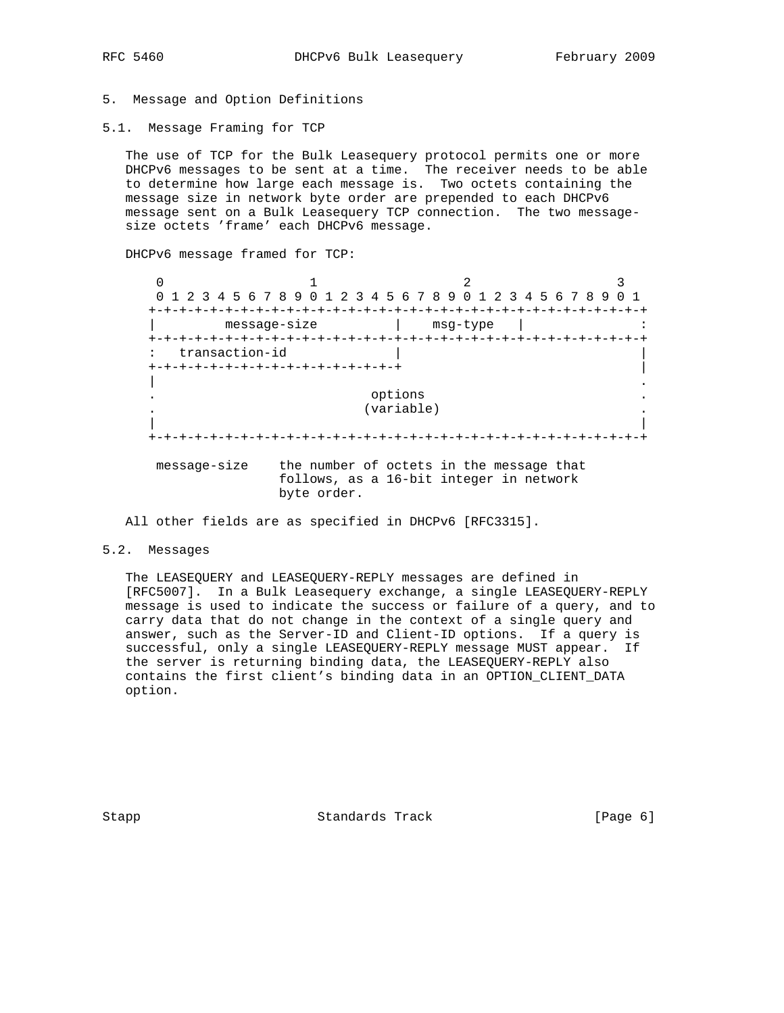## 5. Message and Option Definitions

5.1. Message Framing for TCP

 The use of TCP for the Bulk Leasequery protocol permits one or more DHCPv6 messages to be sent at a time. The receiver needs to be able to determine how large each message is. Two octets containing the message size in network byte order are prepended to each DHCPv6 message sent on a Bulk Leasequery TCP connection. The two message size octets 'frame' each DHCPv6 message.

DHCPv6 message framed for TCP:

 $0$  1 2 3 0 1 2 3 4 5 6 7 8 9 0 1 2 3 4 5 6 7 8 9 0 1 2 3 4 5 6 7 8 9 0 1 +-+-+-+-+-+-+-+-+-+-+-+-+-+-+-+-+-+-+-+-+-+-+-+-+-+-+-+-+-+-+-+-+ | message-size | msg-type | : +-+-+-+-+-+-+-+-+-+-+-+-+-+-+-+-+-+-+-+-+-+-+-+-+-+-+-+-+-+-+-+-+ : transaction-id +-+-+-+-+-+-+-+-+-+-+-+-+-+-+-+-+ | | . . options . (variable) . | | +-+-+-+-+-+-+-+-+-+-+-+-+-+-+-+-+-+-+-+-+-+-+-+-+-+-+-+-+-+-+-+-+ message-size the number of octets in the message that follows, as a 16-bit integer in network byte order.

All other fields are as specified in DHCPv6 [RFC3315].

#### 5.2. Messages

 The LEASEQUERY and LEASEQUERY-REPLY messages are defined in [RFC5007]. In a Bulk Leasequery exchange, a single LEASEQUERY-REPLY message is used to indicate the success or failure of a query, and to carry data that do not change in the context of a single query and answer, such as the Server-ID and Client-ID options. If a query is successful, only a single LEASEQUERY-REPLY message MUST appear. If the server is returning binding data, the LEASEQUERY-REPLY also contains the first client's binding data in an OPTION\_CLIENT\_DATA option.

Stapp Standards Track [Page 6]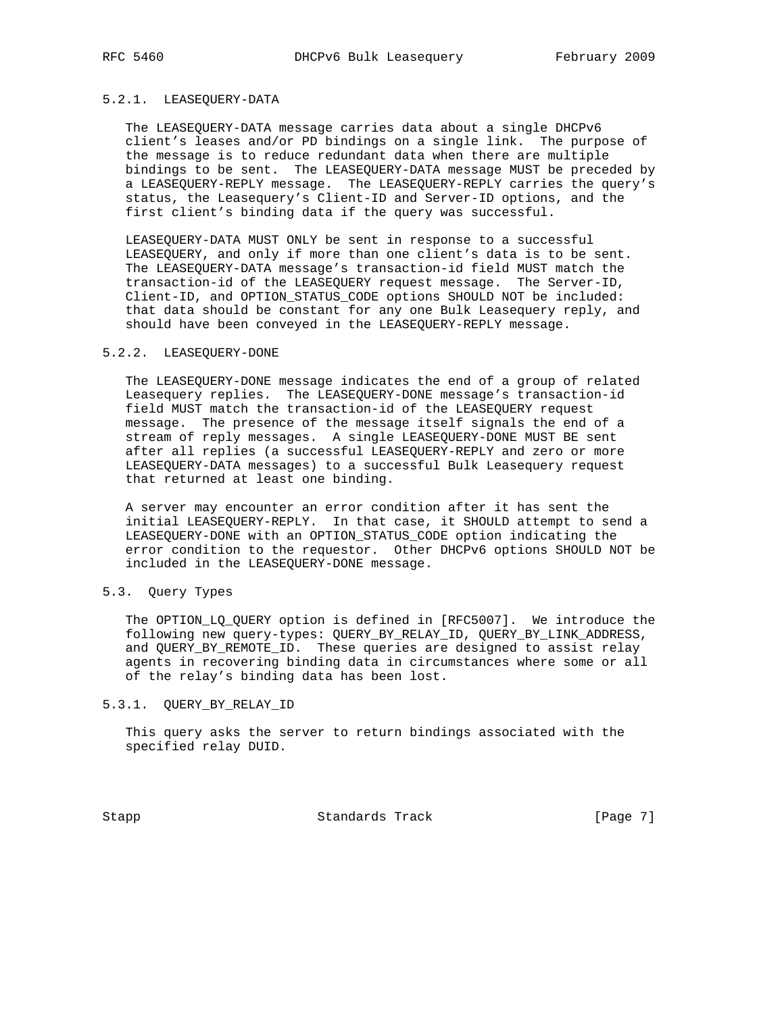## 5.2.1. LEASEQUERY-DATA

 The LEASEQUERY-DATA message carries data about a single DHCPv6 client's leases and/or PD bindings on a single link. The purpose of the message is to reduce redundant data when there are multiple bindings to be sent. The LEASEQUERY-DATA message MUST be preceded by a LEASEQUERY-REPLY message. The LEASEQUERY-REPLY carries the query's status, the Leasequery's Client-ID and Server-ID options, and the first client's binding data if the query was successful.

 LEASEQUERY-DATA MUST ONLY be sent in response to a successful LEASEQUERY, and only if more than one client's data is to be sent. The LEASEQUERY-DATA message's transaction-id field MUST match the transaction-id of the LEASEQUERY request message. The Server-ID, Client-ID, and OPTION\_STATUS\_CODE options SHOULD NOT be included: that data should be constant for any one Bulk Leasequery reply, and should have been conveyed in the LEASEQUERY-REPLY message.

## 5.2.2. LEASEQUERY-DONE

 The LEASEQUERY-DONE message indicates the end of a group of related Leasequery replies. The LEASEQUERY-DONE message's transaction-id field MUST match the transaction-id of the LEASEQUERY request message. The presence of the message itself signals the end of a stream of reply messages. A single LEASEQUERY-DONE MUST BE sent after all replies (a successful LEASEQUERY-REPLY and zero or more LEASEQUERY-DATA messages) to a successful Bulk Leasequery request that returned at least one binding.

 A server may encounter an error condition after it has sent the initial LEASEQUERY-REPLY. In that case, it SHOULD attempt to send a LEASEQUERY-DONE with an OPTION\_STATUS\_CODE option indicating the error condition to the requestor. Other DHCPv6 options SHOULD NOT be included in the LEASEQUERY-DONE message.

#### 5.3. Query Types

The OPTION\_LQ\_QUERY option is defined in [RFC5007]. We introduce the following new query-types: QUERY\_BY\_RELAY\_ID, QUERY\_BY\_LINK\_ADDRESS, and QUERY\_BY\_REMOTE\_ID. These queries are designed to assist relay agents in recovering binding data in circumstances where some or all of the relay's binding data has been lost.

#### 5.3.1. QUERY\_BY\_RELAY\_ID

 This query asks the server to return bindings associated with the specified relay DUID.

Stapp Standards Track [Page 7]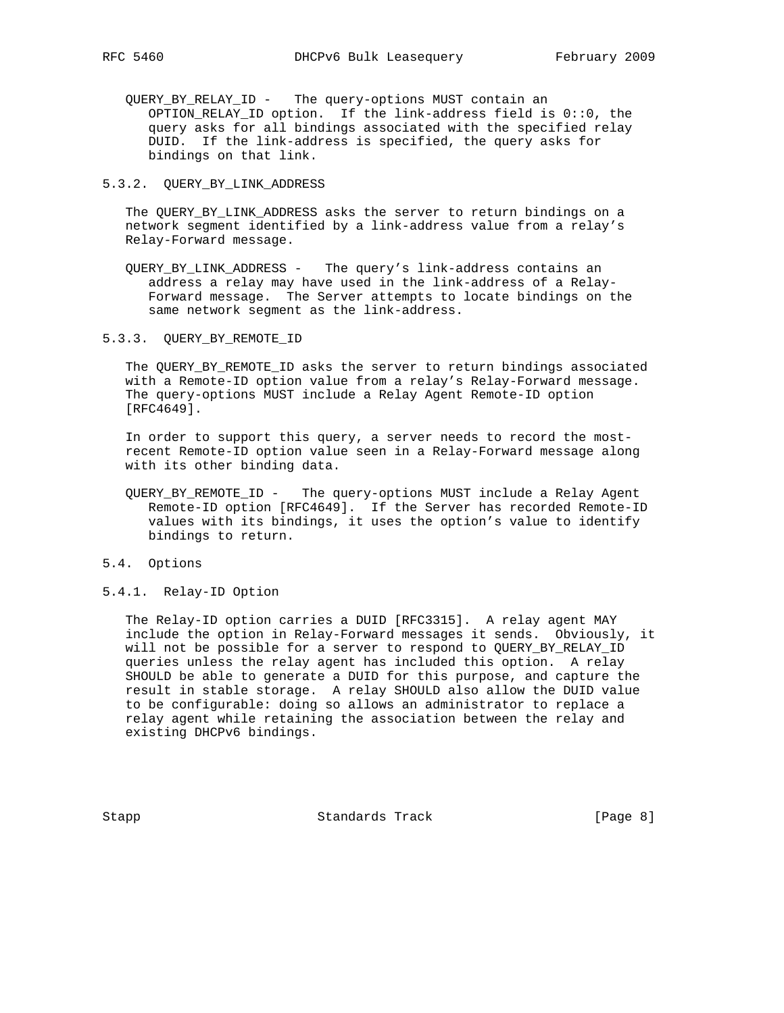QUERY\_BY\_RELAY\_ID - The query-options MUST contain an OPTION\_RELAY\_ID option. If the link-address field is 0::0, the query asks for all bindings associated with the specified relay DUID. If the link-address is specified, the query asks for bindings on that link.

#### 5.3.2. QUERY\_BY\_LINK\_ADDRESS

 The QUERY\_BY\_LINK\_ADDRESS asks the server to return bindings on a network segment identified by a link-address value from a relay's Relay-Forward message.

- QUERY\_BY\_LINK\_ADDRESS The query's link-address contains an address a relay may have used in the link-address of a Relay- Forward message. The Server attempts to locate bindings on the same network segment as the link-address.
- 5.3.3. QUERY\_BY\_REMOTE\_ID

 The QUERY\_BY\_REMOTE\_ID asks the server to return bindings associated with a Remote-ID option value from a relay's Relay-Forward message. The query-options MUST include a Relay Agent Remote-ID option [RFC4649].

 In order to support this query, a server needs to record the most recent Remote-ID option value seen in a Relay-Forward message along with its other binding data.

- QUERY\_BY\_REMOTE\_ID The query-options MUST include a Relay Agent Remote-ID option [RFC4649]. If the Server has recorded Remote-ID values with its bindings, it uses the option's value to identify bindings to return.
- 5.4. Options
- 5.4.1. Relay-ID Option

 The Relay-ID option carries a DUID [RFC3315]. A relay agent MAY include the option in Relay-Forward messages it sends. Obviously, it will not be possible for a server to respond to QUERY\_BY\_RELAY\_ID queries unless the relay agent has included this option. A relay SHOULD be able to generate a DUID for this purpose, and capture the result in stable storage. A relay SHOULD also allow the DUID value to be configurable: doing so allows an administrator to replace a relay agent while retaining the association between the relay and existing DHCPv6 bindings.

Stapp Standards Track [Page 8]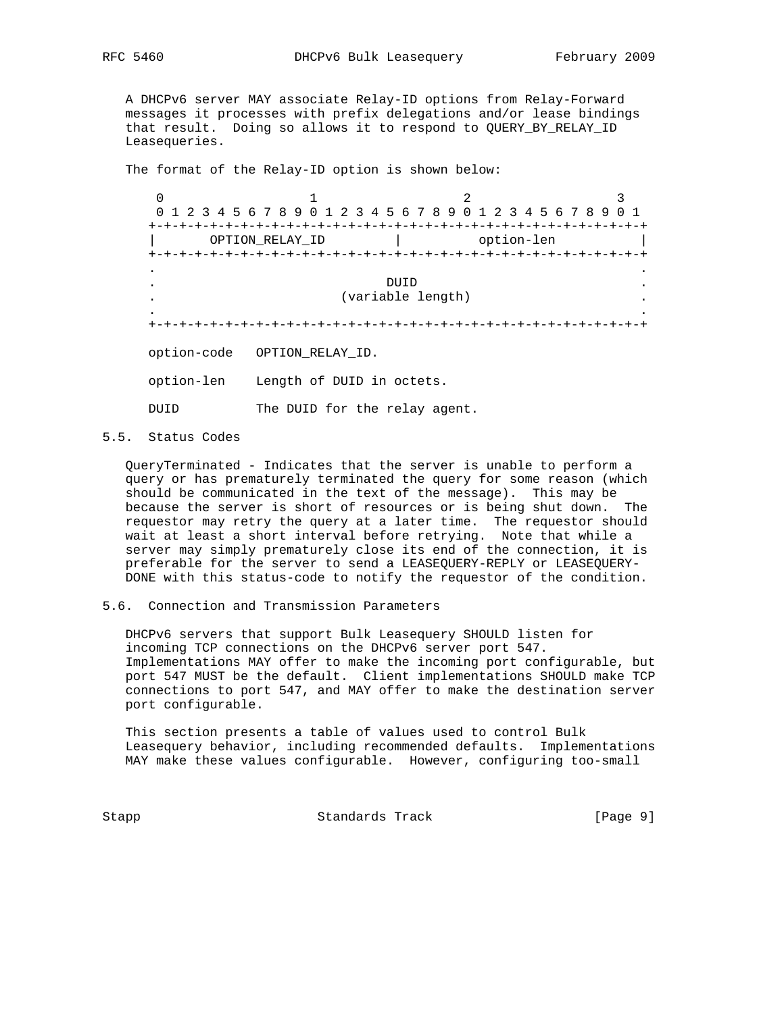A DHCPv6 server MAY associate Relay-ID options from Relay-Forward messages it processes with prefix delegations and/or lease bindings that result. Doing so allows it to respond to QUERY\_BY\_RELAY\_ID Leasequeries.

The format of the Relay-ID option is shown below:

 $0$  1 2 3 0 1 2 3 4 5 6 7 8 9 0 1 2 3 4 5 6 7 8 9 0 1 2 3 4 5 6 7 8 9 0 1 +-+-+-+-+-+-+-+-+-+-+-+-+-+-+-+-+-+-+-+-+-+-+-+-+-+-+-+-+-+-+-+-+ OPTION\_RELAY\_ID | option-len +-+-+-+-+-+-+-+-+-+-+-+-+-+-+-+-+-+-+-+-+-+-+-+-+-+-+-+-+-+-+-+-+ . . . DUID . . (variable length) . . . +-+-+-+-+-+-+-+-+-+-+-+-+-+-+-+-+-+-+-+-+-+-+-+-+-+-+-+-+-+-+-+-+ option-code OPTION\_RELAY\_ID. option-len Length of DUID in octets. DUID The DUID for the relay agent.

5.5. Status Codes

 QueryTerminated - Indicates that the server is unable to perform a query or has prematurely terminated the query for some reason (which should be communicated in the text of the message). This may be because the server is short of resources or is being shut down. The requestor may retry the query at a later time. The requestor should wait at least a short interval before retrying. Note that while a server may simply prematurely close its end of the connection, it is preferable for the server to send a LEASEQUERY-REPLY or LEASEQUERY- DONE with this status-code to notify the requestor of the condition.

5.6. Connection and Transmission Parameters

 DHCPv6 servers that support Bulk Leasequery SHOULD listen for incoming TCP connections on the DHCPv6 server port 547. Implementations MAY offer to make the incoming port configurable, but port 547 MUST be the default. Client implementations SHOULD make TCP connections to port 547, and MAY offer to make the destination server port configurable.

 This section presents a table of values used to control Bulk Leasequery behavior, including recommended defaults. Implementations MAY make these values configurable. However, configuring too-small

Stapp Standards Track [Page 9]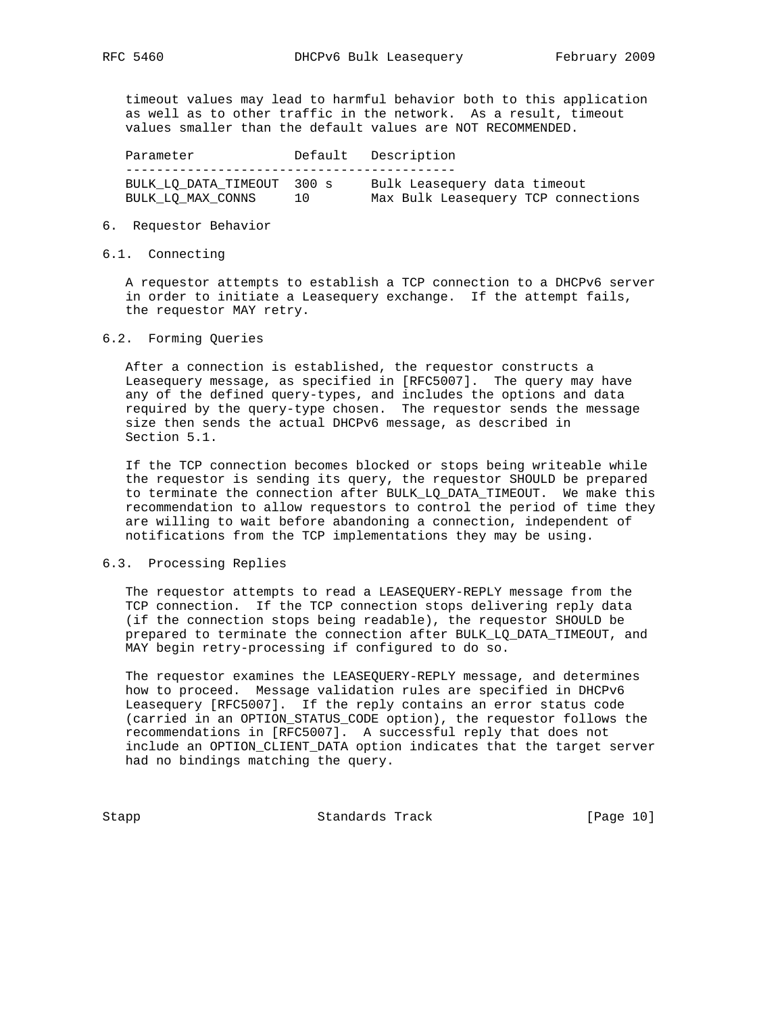timeout values may lead to harmful behavior both to this application as well as to other traffic in the network. As a result, timeout values smaller than the default values are NOT RECOMMENDED.

| Parameter                                       |    | Default Description                                                 |
|-------------------------------------------------|----|---------------------------------------------------------------------|
| BULK LO DATA TIMEOUT 300 s<br>BULK LO MAX CONNS | 10 | Bulk Leasequery data timeout<br>Max Bulk Leasequery TCP connections |

#### 6. Requestor Behavior

### 6.1. Connecting

 A requestor attempts to establish a TCP connection to a DHCPv6 server in order to initiate a Leasequery exchange. If the attempt fails, the requestor MAY retry.

#### 6.2. Forming Queries

 After a connection is established, the requestor constructs a Leasequery message, as specified in [RFC5007]. The query may have any of the defined query-types, and includes the options and data required by the query-type chosen. The requestor sends the message size then sends the actual DHCPv6 message, as described in Section 5.1.

 If the TCP connection becomes blocked or stops being writeable while the requestor is sending its query, the requestor SHOULD be prepared to terminate the connection after BULK\_LQ\_DATA\_TIMEOUT. We make this recommendation to allow requestors to control the period of time they are willing to wait before abandoning a connection, independent of notifications from the TCP implementations they may be using.

## 6.3. Processing Replies

 The requestor attempts to read a LEASEQUERY-REPLY message from the TCP connection. If the TCP connection stops delivering reply data (if the connection stops being readable), the requestor SHOULD be prepared to terminate the connection after BULK\_LQ\_DATA\_TIMEOUT, and MAY begin retry-processing if configured to do so.

 The requestor examines the LEASEQUERY-REPLY message, and determines how to proceed. Message validation rules are specified in DHCPv6 Leasequery [RFC5007]. If the reply contains an error status code (carried in an OPTION\_STATUS\_CODE option), the requestor follows the recommendations in [RFC5007]. A successful reply that does not include an OPTION\_CLIENT\_DATA option indicates that the target server had no bindings matching the query.

Stapp Standards Track [Page 10]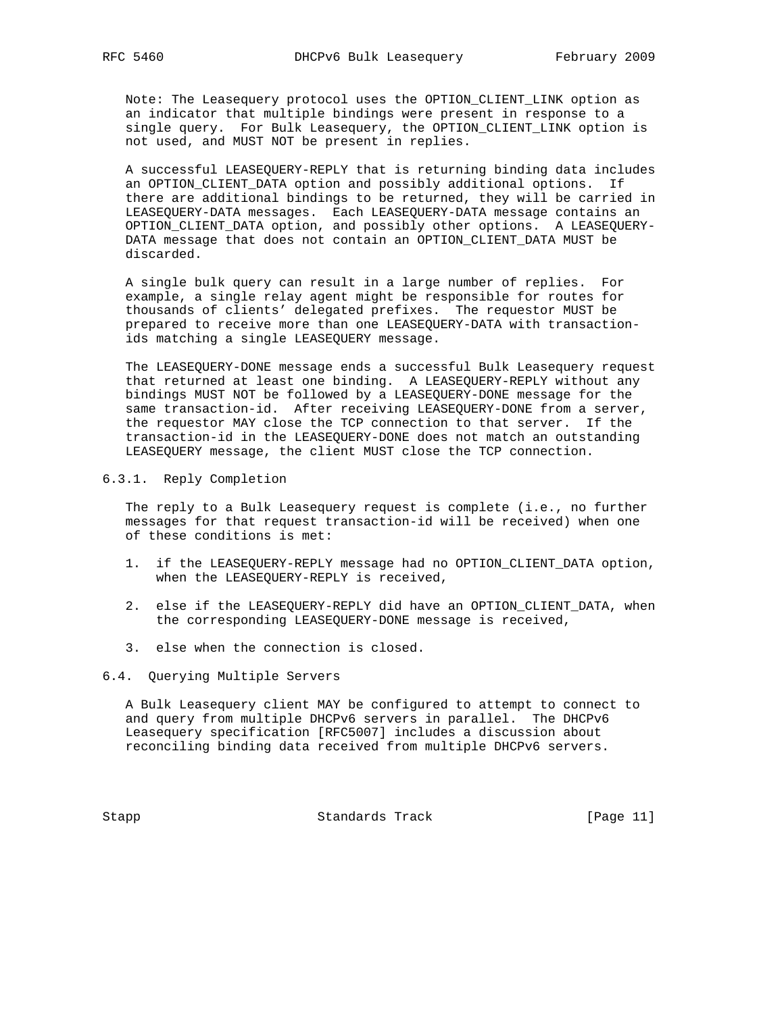Note: The Leasequery protocol uses the OPTION\_CLIENT\_LINK option as an indicator that multiple bindings were present in response to a single query. For Bulk Leasequery, the OPTION\_CLIENT\_LINK option is not used, and MUST NOT be present in replies.

 A successful LEASEQUERY-REPLY that is returning binding data includes an OPTION\_CLIENT\_DATA option and possibly additional options. If there are additional bindings to be returned, they will be carried in LEASEQUERY-DATA messages. Each LEASEQUERY-DATA message contains an OPTION\_CLIENT\_DATA option, and possibly other options. A LEASEQUERY- DATA message that does not contain an OPTION\_CLIENT\_DATA MUST be discarded.

 A single bulk query can result in a large number of replies. For example, a single relay agent might be responsible for routes for thousands of clients' delegated prefixes. The requestor MUST be prepared to receive more than one LEASEQUERY-DATA with transaction ids matching a single LEASEQUERY message.

 The LEASEQUERY-DONE message ends a successful Bulk Leasequery request that returned at least one binding. A LEASEQUERY-REPLY without any bindings MUST NOT be followed by a LEASEQUERY-DONE message for the same transaction-id. After receiving LEASEQUERY-DONE from a server, the requestor MAY close the TCP connection to that server. If the transaction-id in the LEASEQUERY-DONE does not match an outstanding LEASEQUERY message, the client MUST close the TCP connection.

#### 6.3.1. Reply Completion

 The reply to a Bulk Leasequery request is complete (i.e., no further messages for that request transaction-id will be received) when one of these conditions is met:

- 1. if the LEASEQUERY-REPLY message had no OPTION\_CLIENT\_DATA option, when the LEASEQUERY-REPLY is received,
- 2. else if the LEASEQUERY-REPLY did have an OPTION\_CLIENT\_DATA, when the corresponding LEASEQUERY-DONE message is received,
- 3. else when the connection is closed.
- 6.4. Querying Multiple Servers

 A Bulk Leasequery client MAY be configured to attempt to connect to and query from multiple DHCPv6 servers in parallel. The DHCPv6 Leasequery specification [RFC5007] includes a discussion about reconciling binding data received from multiple DHCPv6 servers.

Stapp Standards Track [Page 11]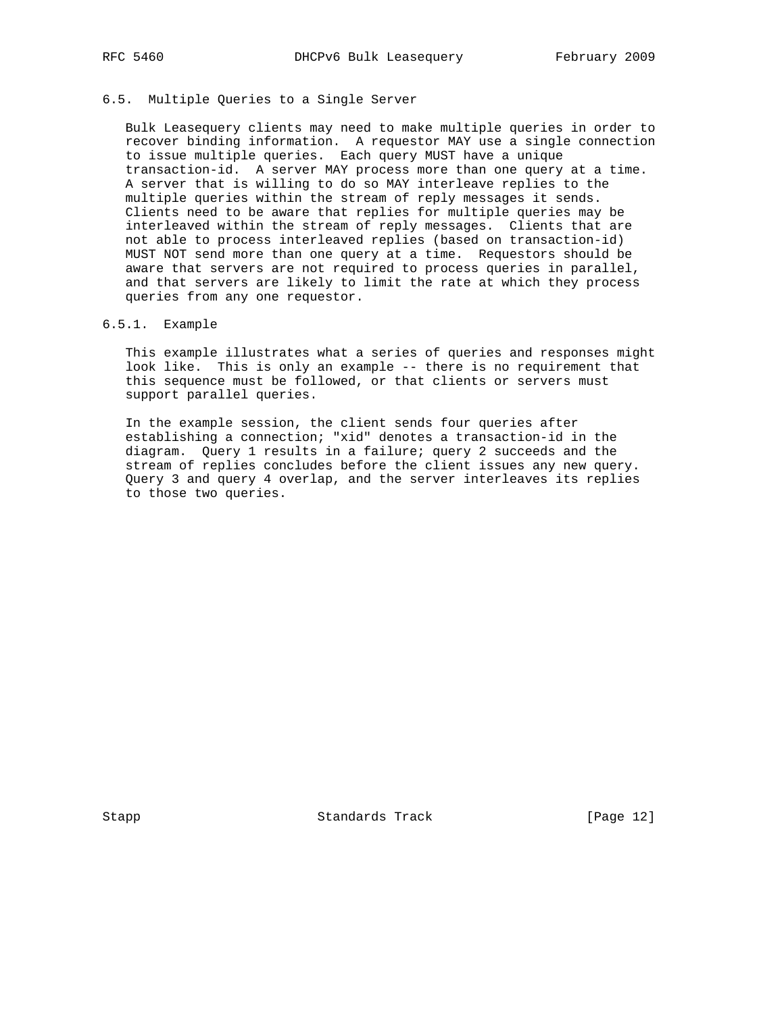# 6.5. Multiple Queries to a Single Server

 Bulk Leasequery clients may need to make multiple queries in order to recover binding information. A requestor MAY use a single connection to issue multiple queries. Each query MUST have a unique transaction-id. A server MAY process more than one query at a time. A server that is willing to do so MAY interleave replies to the multiple queries within the stream of reply messages it sends. Clients need to be aware that replies for multiple queries may be interleaved within the stream of reply messages. Clients that are not able to process interleaved replies (based on transaction-id) MUST NOT send more than one query at a time. Requestors should be aware that servers are not required to process queries in parallel, and that servers are likely to limit the rate at which they process queries from any one requestor.

### 6.5.1. Example

 This example illustrates what a series of queries and responses might look like. This is only an example -- there is no requirement that this sequence must be followed, or that clients or servers must support parallel queries.

 In the example session, the client sends four queries after establishing a connection; "xid" denotes a transaction-id in the diagram. Query 1 results in a failure; query 2 succeeds and the stream of replies concludes before the client issues any new query. Query 3 and query 4 overlap, and the server interleaves its replies to those two queries.

Stapp Standards Track [Page 12]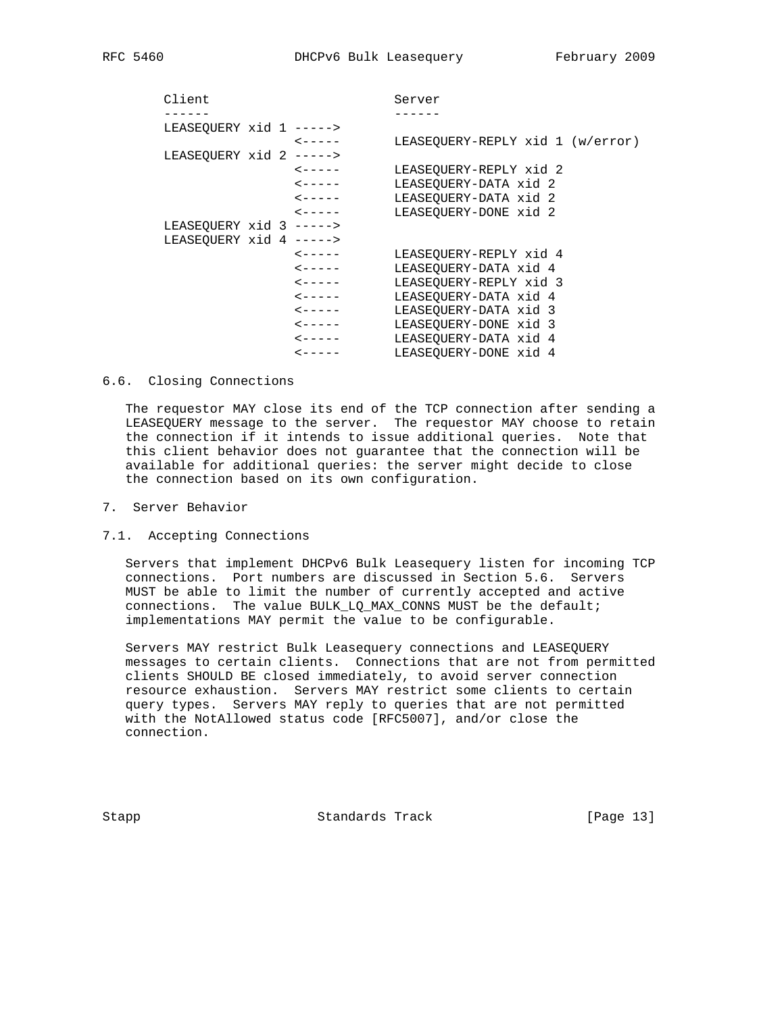| Client                    |                        | Server                           |  |
|---------------------------|------------------------|----------------------------------|--|
| . _ _ _ _ _               |                        |                                  |  |
| LEASEOUERY xid 1 ----->   |                        |                                  |  |
|                           | $\leftarrow$ - - - -   | LEASEOUERY-REPLY xid 1 (w/error) |  |
| LEASEQUERY xid 2 ----->   |                        |                                  |  |
|                           | $\leftarrow$ - - - -   | LEASEOUERY-REPLY xid 2           |  |
|                           | $\leftarrow$ - - - -   | LEASEOUERY-DATA xid 2            |  |
|                           | $\leftarrow$ - - - -   | LEASEOUERY-DATA xid 2            |  |
|                           | $\zeta$ - - - - -      | LEASEOUERY-DONE xid 2            |  |
| LEASEOUERY $xid$ 3 -----> |                        |                                  |  |
| LEASEOUERY xid 4 ----->   |                        |                                  |  |
|                           | $\zeta$ - - - - -      | LEASEOUERY-REPLY xid 4           |  |
|                           | $\leftarrow - - - -$   | LEASEOUERY-DATA xid 4            |  |
|                           | $\sim - - - - -$       | LEASEOUERY-REPLY xid 3           |  |
|                           | $\leftarrow - - - - -$ | LEASEOUERY-DATA xid 4            |  |
|                           | $\leftarrow$ - - - -   | LEASEOUERY-DATA xid 3            |  |
|                           | $\leftarrow - - - - -$ | LEASEOUERY-DONE xid 3            |  |
|                           | $\leftarrow - - - - -$ | LEASEOUERY-DATA xid 4            |  |
|                           | $\leftarrow$ - - - -   | LEASEOUERY-DONE xid 4            |  |

### 6.6. Closing Connections

 The requestor MAY close its end of the TCP connection after sending a LEASEQUERY message to the server. The requestor MAY choose to retain the connection if it intends to issue additional queries. Note that this client behavior does not guarantee that the connection will be available for additional queries: the server might decide to close the connection based on its own configuration.

- 7. Server Behavior
- 7.1. Accepting Connections

 Servers that implement DHCPv6 Bulk Leasequery listen for incoming TCP connections. Port numbers are discussed in Section 5.6. Servers MUST be able to limit the number of currently accepted and active connections. The value BULK\_LQ\_MAX\_CONNS MUST be the default; implementations MAY permit the value to be configurable.

 Servers MAY restrict Bulk Leasequery connections and LEASEQUERY messages to certain clients. Connections that are not from permitted clients SHOULD BE closed immediately, to avoid server connection resource exhaustion. Servers MAY restrict some clients to certain query types. Servers MAY reply to queries that are not permitted with the NotAllowed status code [RFC5007], and/or close the connection.

Stapp Standards Track [Page 13]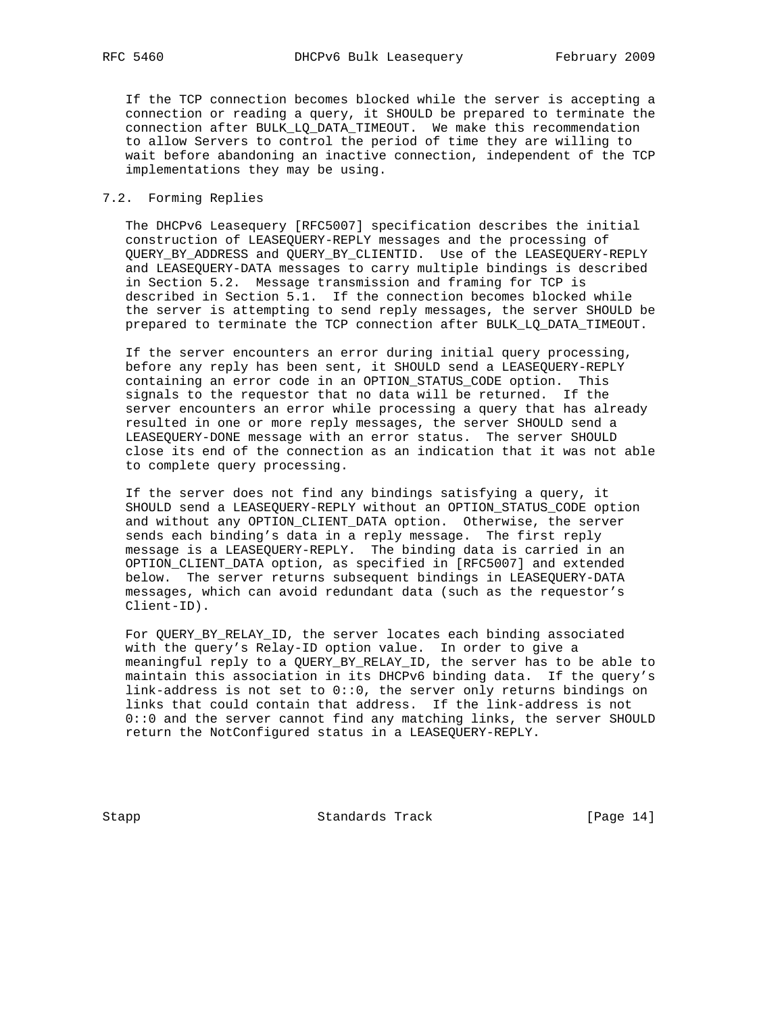If the TCP connection becomes blocked while the server is accepting a connection or reading a query, it SHOULD be prepared to terminate the connection after BULK\_LQ\_DATA\_TIMEOUT. We make this recommendation to allow Servers to control the period of time they are willing to wait before abandoning an inactive connection, independent of the TCP implementations they may be using.

## 7.2. Forming Replies

 The DHCPv6 Leasequery [RFC5007] specification describes the initial construction of LEASEQUERY-REPLY messages and the processing of QUERY\_BY\_ADDRESS and QUERY\_BY\_CLIENTID. Use of the LEASEQUERY-REPLY and LEASEQUERY-DATA messages to carry multiple bindings is described in Section 5.2. Message transmission and framing for TCP is described in Section 5.1. If the connection becomes blocked while the server is attempting to send reply messages, the server SHOULD be prepared to terminate the TCP connection after BULK\_LQ\_DATA\_TIMEOUT.

 If the server encounters an error during initial query processing, before any reply has been sent, it SHOULD send a LEASEQUERY-REPLY containing an error code in an OPTION\_STATUS\_CODE option. This signals to the requestor that no data will be returned. If the server encounters an error while processing a query that has already resulted in one or more reply messages, the server SHOULD send a LEASEQUERY-DONE message with an error status. The server SHOULD close its end of the connection as an indication that it was not able to complete query processing.

 If the server does not find any bindings satisfying a query, it SHOULD send a LEASEQUERY-REPLY without an OPTION\_STATUS\_CODE option and without any OPTION\_CLIENT\_DATA option. Otherwise, the server sends each binding's data in a reply message. The first reply message is a LEASEQUERY-REPLY. The binding data is carried in an OPTION\_CLIENT\_DATA option, as specified in [RFC5007] and extended below. The server returns subsequent bindings in LEASEQUERY-DATA messages, which can avoid redundant data (such as the requestor's Client-ID).

 For QUERY\_BY\_RELAY\_ID, the server locates each binding associated with the query's Relay-ID option value. In order to give a meaningful reply to a QUERY\_BY\_RELAY\_ID, the server has to be able to maintain this association in its DHCPv6 binding data. If the query's link-address is not set to 0::0, the server only returns bindings on links that could contain that address. If the link-address is not 0::0 and the server cannot find any matching links, the server SHOULD return the NotConfigured status in a LEASEQUERY-REPLY.

Stapp Standards Track [Page 14]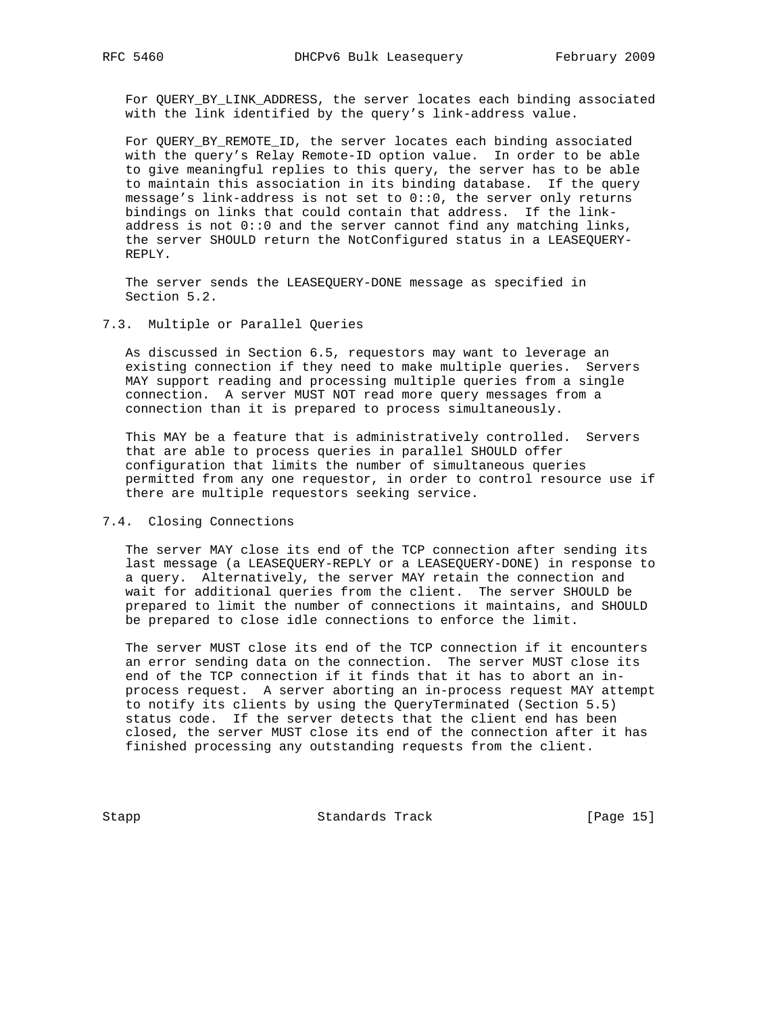For QUERY\_BY\_LINK\_ADDRESS, the server locates each binding associated with the link identified by the query's link-address value.

 For QUERY\_BY\_REMOTE\_ID, the server locates each binding associated with the query's Relay Remote-ID option value. In order to be able to give meaningful replies to this query, the server has to be able to maintain this association in its binding database. If the query message's link-address is not set to 0::0, the server only returns bindings on links that could contain that address. If the link address is not 0::0 and the server cannot find any matching links, the server SHOULD return the NotConfigured status in a LEASEQUERY- REPLY.

 The server sends the LEASEQUERY-DONE message as specified in Section 5.2.

### 7.3. Multiple or Parallel Queries

 As discussed in Section 6.5, requestors may want to leverage an existing connection if they need to make multiple queries. Servers MAY support reading and processing multiple queries from a single connection. A server MUST NOT read more query messages from a connection than it is prepared to process simultaneously.

 This MAY be a feature that is administratively controlled. Servers that are able to process queries in parallel SHOULD offer configuration that limits the number of simultaneous queries permitted from any one requestor, in order to control resource use if there are multiple requestors seeking service.

#### 7.4. Closing Connections

 The server MAY close its end of the TCP connection after sending its last message (a LEASEQUERY-REPLY or a LEASEQUERY-DONE) in response to a query. Alternatively, the server MAY retain the connection and wait for additional queries from the client. The server SHOULD be prepared to limit the number of connections it maintains, and SHOULD be prepared to close idle connections to enforce the limit.

 The server MUST close its end of the TCP connection if it encounters an error sending data on the connection. The server MUST close its end of the TCP connection if it finds that it has to abort an in process request. A server aborting an in-process request MAY attempt to notify its clients by using the QueryTerminated (Section 5.5) status code. If the server detects that the client end has been closed, the server MUST close its end of the connection after it has finished processing any outstanding requests from the client.

Stapp Standards Track [Page 15]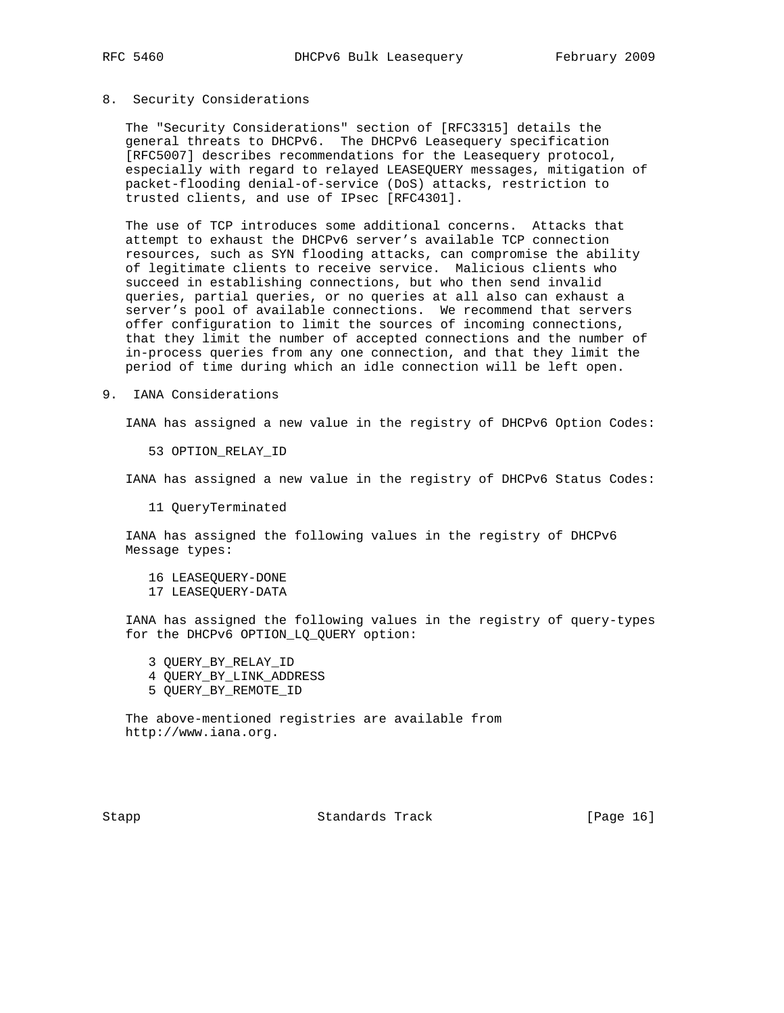#### 8. Security Considerations

 The "Security Considerations" section of [RFC3315] details the general threats to DHCPv6. The DHCPv6 Leasequery specification [RFC5007] describes recommendations for the Leasequery protocol, especially with regard to relayed LEASEQUERY messages, mitigation of packet-flooding denial-of-service (DoS) attacks, restriction to trusted clients, and use of IPsec [RFC4301].

 The use of TCP introduces some additional concerns. Attacks that attempt to exhaust the DHCPv6 server's available TCP connection resources, such as SYN flooding attacks, can compromise the ability of legitimate clients to receive service. Malicious clients who succeed in establishing connections, but who then send invalid queries, partial queries, or no queries at all also can exhaust a server's pool of available connections. We recommend that servers offer configuration to limit the sources of incoming connections, that they limit the number of accepted connections and the number of in-process queries from any one connection, and that they limit the period of time during which an idle connection will be left open.

9. IANA Considerations

IANA has assigned a new value in the registry of DHCPv6 Option Codes:

53 OPTION\_RELAY\_ID

IANA has assigned a new value in the registry of DHCPv6 Status Codes:

11 QueryTerminated

 IANA has assigned the following values in the registry of DHCPv6 Message types:

 16 LEASEQUERY-DONE 17 LEASEQUERY-DATA

 IANA has assigned the following values in the registry of query-types for the DHCPv6 OPTION\_LQ\_QUERY option:

- 3 QUERY\_BY\_RELAY\_ID
- 4 QUERY\_BY\_LINK\_ADDRESS
- 5 QUERY\_BY\_REMOTE\_ID

 The above-mentioned registries are available from http://www.iana.org.

Stapp Standards Track [Page 16]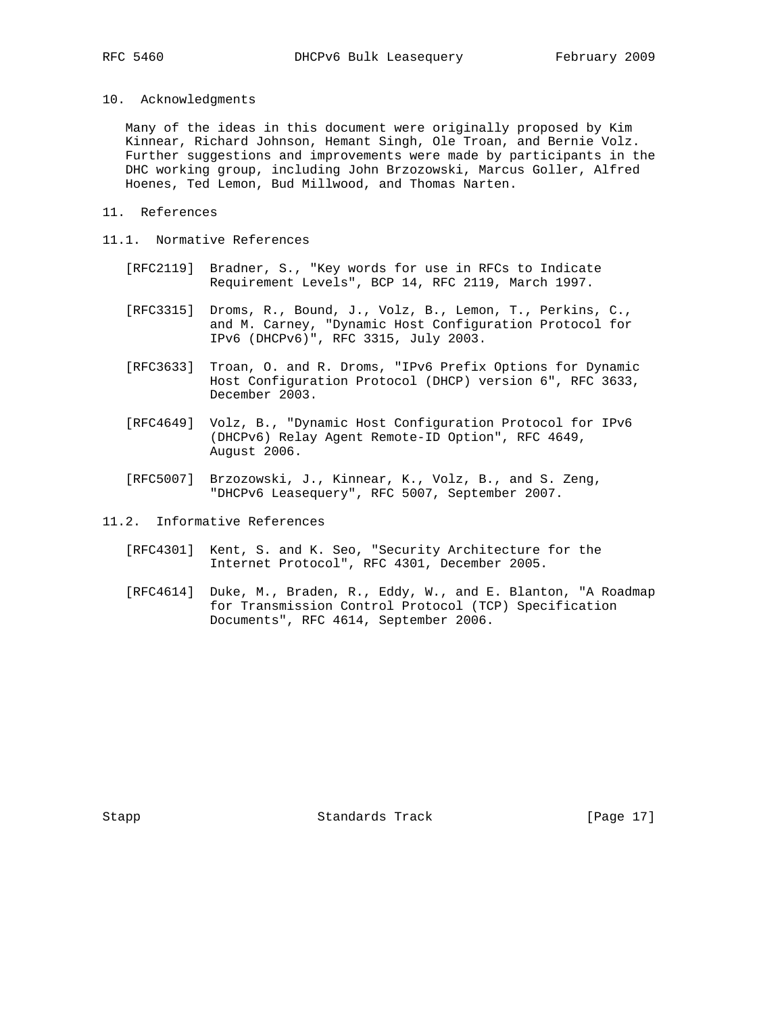- 
- 10. Acknowledgments

 Many of the ideas in this document were originally proposed by Kim Kinnear, Richard Johnson, Hemant Singh, Ole Troan, and Bernie Volz. Further suggestions and improvements were made by participants in the DHC working group, including John Brzozowski, Marcus Goller, Alfred Hoenes, Ted Lemon, Bud Millwood, and Thomas Narten.

- 11. References
- 11.1. Normative References
	- [RFC2119] Bradner, S., "Key words for use in RFCs to Indicate Requirement Levels", BCP 14, RFC 2119, March 1997.
	- [RFC3315] Droms, R., Bound, J., Volz, B., Lemon, T., Perkins, C., and M. Carney, "Dynamic Host Configuration Protocol for IPv6 (DHCPv6)", RFC 3315, July 2003.
	- [RFC3633] Troan, O. and R. Droms, "IPv6 Prefix Options for Dynamic Host Configuration Protocol (DHCP) version 6", RFC 3633, December 2003.
	- [RFC4649] Volz, B., "Dynamic Host Configuration Protocol for IPv6 (DHCPv6) Relay Agent Remote-ID Option", RFC 4649, August 2006.
	- [RFC5007] Brzozowski, J., Kinnear, K., Volz, B., and S. Zeng, "DHCPv6 Leasequery", RFC 5007, September 2007.
- 11.2. Informative References
	- [RFC4301] Kent, S. and K. Seo, "Security Architecture for the Internet Protocol", RFC 4301, December 2005.
	- [RFC4614] Duke, M., Braden, R., Eddy, W., and E. Blanton, "A Roadmap for Transmission Control Protocol (TCP) Specification Documents", RFC 4614, September 2006.

Stapp Standards Track [Page 17]